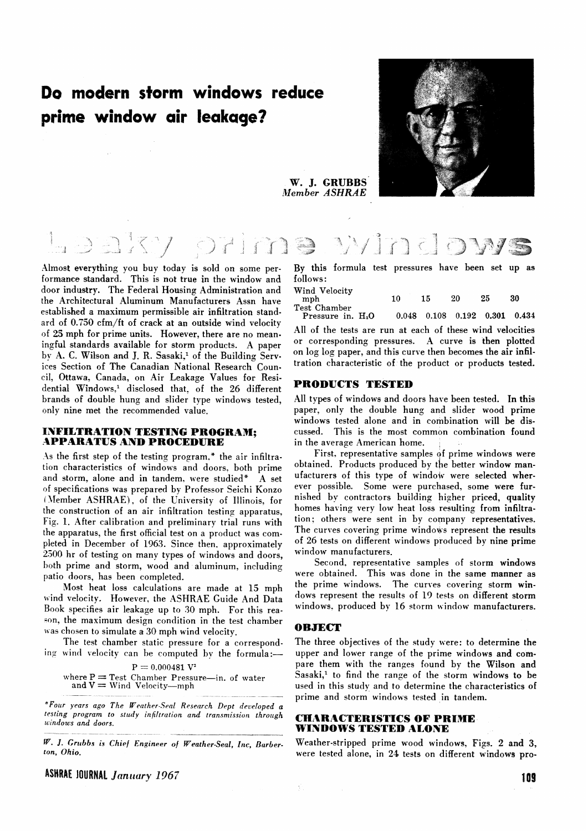# **Do modern storm windows reduce prime window air leakage?**



**W. J. GRUBBS**  *;Illember ASHRAE* 



Almost everything you buy today is sold on some performance standard. This is not true in the window and door industry. The Federal Housing Administration and the Architectural Aluminum Manufacturers Assn have established a maximum permissible air infiltration standard of 0.550 cfm/ft of crack at an outside wind velocity of **25** mph for prime units. However, there are no meaningful standards available for storm products. A paper by A. C. Wilson and J. R. Sasaki,<sup>1</sup> of the Building Services Section of The Canadian National Research Coun. cil, Ottawa, Canada, on Air Leakage Values for Residential Windows,<sup>1</sup> disclosed that. of the 26 different brands of double hung and slider type windows tested, only nine met the recommended value.

# **INFILTRATION TESTING PROGRAM; APPARATUS AND PROCEDURE**

As the first step of the testing program,\* the air infiltration characteristics of windows and doors. both prime and storm, alone and in tandem, were studied\*  $A$  set of specifications was prepared by Professor Seichi Konzo (Member ASHRAE), of the University of Illinois, for the construction of an air infiltration testing apparatus, Fig. 1. After calibration and preliminary trial runs with the apparatus, the first official test on a product was completed in December of 1963. Since then. approximately 2300 hr of testing on many types of windows and doors, both prime and storm, wood and aluminum, including patio doors, has been completed.

Most heat loss calculations are made at 15 mph wind velocity. However, the ASHRAE Guide And Data Book specifies air leakage up to 30 mph. For this rea son, the maximum design condition in the test chamber was chosen to simulate a 30 mph wind velocity.

The test chamber static pressure for a corresponding wind velocity can be computed by the formula:-

$$
P = 0.000481 V2
$$
  
where P = Test Chamber Pressure—in. of water  
and V = Wind Velocity—mph

*"Four years ago The Wenth~r-Senl Research Dept developed a testing program to study infiltration and transmission through*  --- --  $windows$  and doors.

**W. 1.** *Grribbs* **is ChieJ Engineer oJ** *Weathrr-Seol,* **Inc, Burber***ton,* **Ohio.** 

By this formula test pressures have been set up as follows:

| Wind Velocity<br>mph               | 10 | 15. | 20 | 25 | 30                                      |
|------------------------------------|----|-----|----|----|-----------------------------------------|
| Test Chamber<br>Pressure in. $H2O$ |    |     |    |    | $0.048$ $0.108$ $0.192$ $0.301$ $0.434$ |

All of the tests are run at each of these wind velocities or corresponding pressures. A curve is then plotted on log log paper, and this curve then becomes the air infiltration characteristic of the product or products tested.

# **PRODUCTS TESTED**

All types of windows and doors have been tested. In this paper, only the double hung and slider wood prime windows tested alone and in combination will be discussed. This is the most common combination found in the average American home.

First. representative samples qf prime windows were obtained. Products produced by the better window manufacturers of this type of window were selected wherever possible. Some were purchased, some were furnished by contractors building hipher priced, quality homes having very low heat loss resulting from infiltration; others were sent in by company representatives. The curves covering prime windows represent the results of 26 tests on different windows produced by nine prime window manufacturers.

Second. representative samples of storm windows were obtained. This was done in the same manner as the prime windows. The curves covering storm **win**dows represent the results of 19 tests on different storm windows, produced by 16 storm window manufacturers.

## **OBJECT**

The three objectives of the study were: to determine the upper and lower range of the prime windows and compare them with the ranges found by the Wilson and Sasaki,<sup>1</sup> to find the range of the storm windows to be used in this study and to determine the characteristics of prime and storm windows tested in tandem.

# **CHARACTERISTICS OF PRIME WINDOWS TESTED ALONE**

Weather-stripped prime wood windows, Figs. **2** and **3,**  were tested alone, in 24 tests on different windows pro-

**ASHRAE lOURNAL** *January 1967* **109**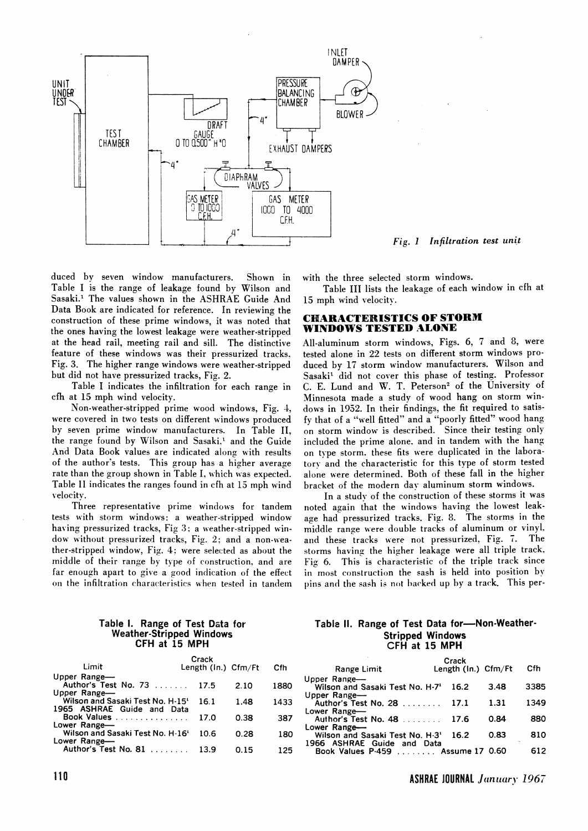

*Fig.* **1** *Infiltration test unit* 

duced by seven window manufacturers. Shown in Table I is the range of leakage found by Wilson and Sasaki.<sup>1</sup> The values shown in the ASHRAE Guide And Data Book are indicated for reference. In reviewing the construction of these prime windows. it was noted that the ones having the lowest leakage were weather-stripped at the head rail, meeting rail and sill. The distinctive feature of these windows was their pressurized tracks, Fig. **3.** The higher range windows were weather-stripped but did not have pressurized tracks, Fig. 2.

Table I indicates the infiltration for each range in cfh at 15 mph wind velocity.

Non-weather-stripped prime wood windows, Fig. 1, were covered in two tests on different windows produced by seven prime window manufacturers. In Table 11, the range found by Wilson and Sasaki.' and the Guide And Data Book values are indicated along with results of the author's tests. This group has a higher average rate than the group shown in Table I, which was expected. Table 11 indicates the ranges found in cfh at 15 mph wind velocitv.

Three representative prime windows for tandem tests with storm windows: a weather-stripped window having pressurized tracks, Fig **3:** a weather-stripped window without pressurized tracks, Fig. 2: and a non-weather-stripped window, Fig. 4: were selected as ahout the middle of their range by type of construction. and are far enough apart to give a good indication of the effect on the infiltration characteristics when tested in tandem with the three selected storm windows.

Table I11 lists the leakage of each window in cfh at 15 mph wind velocity.

# **CHARACTERISTICS OF STORM WINDOWS TESTED ALONE**

All-aluminum storm windows, Figs. 6, 7 and 8, were tested alone in **22** tests on different storm windows produced by 17 storm window manufacturers. Wilson and Sasaki<sup>1</sup> did not cover this phase of testing. Professor C. E. Lund and W. T. Peterson<sup>2</sup> of the University of Minnesota made a study of wood hang on storm windows in 1932. In their findings, the fit required to satisfy that of a "well fitted" and a "poorly fitted" wood hang on storm window is described. Since their testing only included the prime alone. and in tandem with the hang on type storm. these fits were duplicated in the laboratory and the characteristic for this type of storm tested alone were determined. Both of these fall in the higher bracket of the modern day aluminum storm windows.

In a study of the construction of these storms it was noted again that the windows having the lowest leakage had pressurized tracks. Fig. 8. The storms in the middle range were double tracks of aluminum or vinyl. and these tracks were not pressurized, Fig. 7. The storms having the higher leakage were all triple track. Fig 6. This is characteristic of the triple track since in most construction the sash is held into position by pins and the sash is not backed up by a track. This per-

### **Table I. Range of Test Data for Weather-Stripped Windows CFH at 15 MPH**

|                                  | Crack                  |      |      |
|----------------------------------|------------------------|------|------|
| Limit                            | Length $(\ln.)$ Cfm/Ft |      | Cfh  |
| Upper Range-                     |                        |      |      |
| Author's Test No. 73             | 17.5                   | 2.10 | 1880 |
| Upper Range-                     |                        |      |      |
| Wilson and Sasaki Test No. H-15' | 16.1                   | 1.48 | 1433 |
| 1965 ASHRAE Guide and Data       |                        |      |      |
| Book Values                      | 17.0                   | 0.38 | 387  |
| Lower Range-                     |                        |      |      |
| Wilson and Sasaki Test No. H-16' | 10.6                   | 0.28 | 180  |
| Lower Range-                     |                        |      |      |
| Author's Test No. 81             | 13.9                   | 0.15 | 125  |

## Table II. Range of Test Data for-Non-Weather-**Stripped Windows CFH at 15 MPH**

| Range Limit                                                                    | Crack<br>Length (In.) Cfm/Ft |      | Cfh  |
|--------------------------------------------------------------------------------|------------------------------|------|------|
| Upper Range-<br>Wilson and Sasaki Test No. H-7 <sup>1</sup> 16.2               |                              | 3.48 | 3385 |
| Upper Range-<br>Author's Test No. 28 17.1<br>Lower Range-                      |                              | 1.31 | 1349 |
| Lower Range                                                                    |                              | 0.84 | 880  |
| Wilson and Sasaki Test No. H-3 <sup>1</sup> 16.2<br>1966 ASHRAE Guide and Data |                              | 0.83 | 810  |
| Book Values P-459  Assume 17 0.60                                              |                              |      | 612  |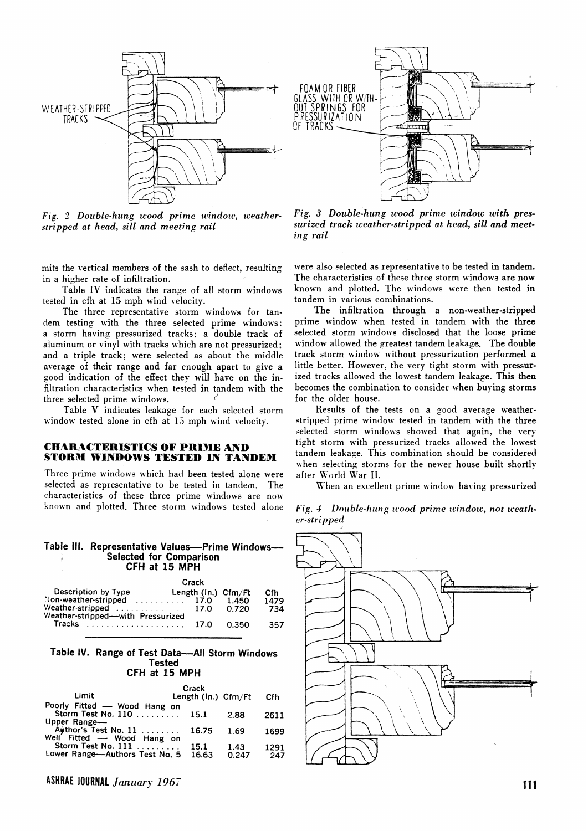



Fig. 2 Double-hung wood prime window, weather*stripped at head, sill and meeting rail* 

 nits the vertical members of the sash to deflect, resulting in a higher rate of infiltration.

Table IV indicates the range of all storm windows tested in cfh at 15 mph wind velocity.

The three representative storm windows for tandem testing with the three selected prime windows: a storm having pressurized tracks; a double track of aluminum or vinyl with tracks which are not pressurized: and a triple track; were selected as about the middle average of their range and far enough apart to give a good indication of the effect they will have on the infiltration characteristics when tested in tandem with the three selected prime windows.

Table V indicates leakage for each selected storm window tested alone in cfh at 13 mph wind velocity.

## **CHARACTERISTICS OF PRIME AND STORM WINDOWS TESTED IN TANDEM**

Three prime windows which had been tested alone were selected as representative to be tested in tandem. The characteristics of these three prime windows are now known and plotted. Three storm windows tested alone

#### Table III. Representative Values—Prime Windows-**Selected for Comparison CFH at 15 MPH**

|                                                                | Crack                  |       |      |
|----------------------------------------------------------------|------------------------|-------|------|
| Description by Type                                            | Length $(\ln.)$ Cfm/Ft |       | Cfh  |
| Non-weather-stripped  17.0                                     |                        | 1.450 | 1479 |
| Weather-stripped  17.0<br>Weather-stripped- with Pressurized   |                        | 0.720 | 734  |
| Tracks $\ldots \ldots \ldots \ldots \ldots \ldots \ldots$ 17.0 |                        | 0.350 | 357  |

#### **Table IV. Range of Test Data-All Storm Windows Tested CFH at 15 MPH**

**Crack** 

| Limit                                                                    | Crack<br>Length $(ln.)$ Cfm/Ft |        | Cfh  |
|--------------------------------------------------------------------------|--------------------------------|--------|------|
| Poorly Fitted - Wood Hang on                                             |                                |        |      |
| Storm Test No. 110 15.1                                                  |                                | 2.88   | 2611 |
|                                                                          |                                |        |      |
| Upper Range—<br>Author's Test No. 11 16.75<br>Well Fitted — Wood Hang on |                                | - 1.69 | 1699 |
|                                                                          |                                |        |      |
| Storm Test No. 111                                                       | 15.1                           | 1.43   | 1291 |
| Lower Range-Authors Test No. 5 16.63                                     |                                | 0.247  | 247  |

**ASHRAE JOURNAL** *January 1967* 

*Fig. 3 Double-hung tcood prime window with pressurized track weather-stripped at head, sill and meeting rail* 

were also selected as representative to be tested in tandem. The characteristics of these three storm windows are now known and plotted. The windows were then tested in tandem in various combinations.

The infiltration through a non-weather-stripped prime window when tested in tandem with the three selected storm windows disclosed that the loose prime window allowed the greatest tandem leakage. The double track storm window without pressurization performed a little better. However, the very tight storm with pressurized tracks allowed the lowest tandem leakage. This then becomes the combination to consider when buying storms for the older house.

Results of the tests on a good average weatherstripped prime window tested in tandem with the three selected storm windows showed that again, the very tight storm with pressurized tracks allowed the lowest tandem leakage. This combination should be considered when selecting storms for the newer house built shortly after World War II.

When an excellent prime window having pressurized

Fig. 4 Double-hung wood prime window, not weath*c?r-stripped*